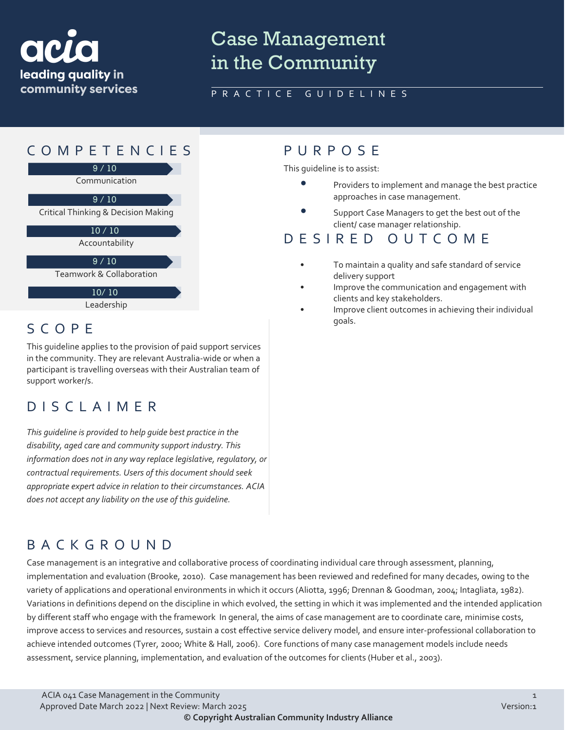

# Case Management in the Community

### PRACTICE GUIDELINES



# SCOPE<sup>goals.</sup>

This guideline applies to the provision of paid support services in the community. They are relevant Australia-wide or when a participant is travelling overseas with their Australian team of support worker/s.

### DISCLAIMER

*This guideline is provided to help guide best practice in the disability, aged care and community support industry. This information does not in any way replace legislative, regulatory, or contractual requirements. Users of this document should seek appropriate expert advice in relation to their circumstances. ACIA does not accept any liability on the use of this guideline.*

This guideline is to assist:

- Providers to implement and manage the best practice approaches in case management.
- Support Case Managers to get the best out of the client/ case manager relationship.

### DESIRED OUTCOME

- To maintain a quality and safe standard of service delivery support
- Improve the communication and engagement with clients and key stakeholders.
- Improve client outcomes in achieving their individual

### BACKGROUND

Case management is an integrative and collaborative process of coordinating individual care through assessment, planning, implementation and evaluation (Brooke, 2010). Case management has been reviewed and redefined for many decades, owing to the variety of applications and operational environments in which it occurs (Aliotta, 1996; Drennan & Goodman, 2004; Intagliata, 1982). Variations in definitions depend on the discipline in which evolved, the setting in which it was implemented and the intended application by different staff who engage with the framework In general, the aims of case management are to coordinate care, minimise costs, improve access to services and resources, sustain a cost effective service delivery model, and ensure inter-professional collaboration to achieve intended outcomes (Tyrer, 2000; White & Hall, 2006). Core functions of many case management models include needs assessment, service planning, implementation, and evaluation of the outcomes for clients (Huber et al., 2003).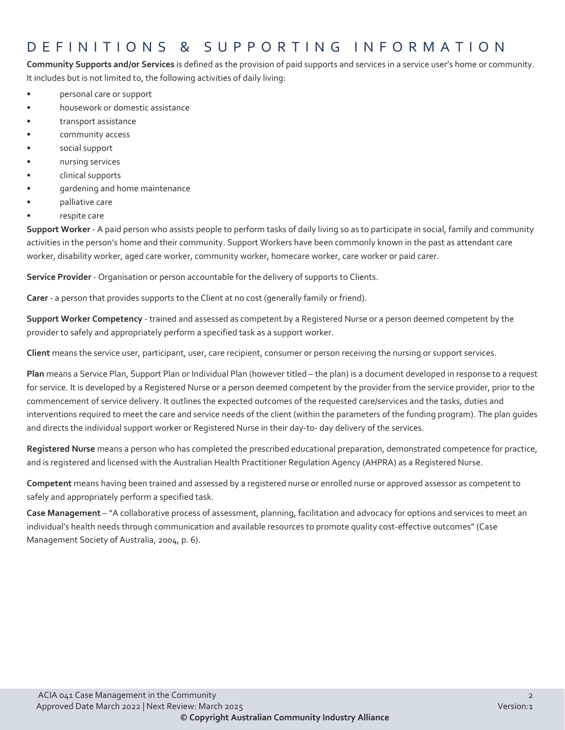### DEFINITIONS & SUPPORTING INFORMATIO N

**Community Supports and/or Services** is defined as the provision of paid supports and services in a service user's home or community. It includes but is not limited to, the following activities of daily living:

- personal care or support
- housework or domestic assistance
- transport assistance
- community access
- social support
- nursing services
- clinical supports
- gardening and home maintenance
- palliative care
- respite care

**Support Worker** - A paid person who assists people to perform tasks of daily living so as to participate in social, family and community activities in the person's home and their community. Support Workers have been commonly known in the past as attendant care worker, disability worker, aged care worker, community worker, homecare worker, care worker or paid carer.

**Service Provider** - Organisation or person accountable for the delivery of supports to Clients.

**Carer** - a person that provides supports to the Client at no cost (generally family or friend).

**Support Worker Competency** - trained and assessed as competent by a Registered Nurse or a person deemed competent by the provider to safely and appropriately perform a specified task as a support worker.

**Client** means the service user, participant, user, care recipient, consumer or person receiving the nursing or support services.

**Plan** means a Service Plan, Support Plan or Individual Plan (however titled – the plan) is a document developed in response to a request for service. It is developed by a Registered Nurse or a person deemed competent by the provider from the service provider, prior to the commencement of service delivery. It outlines the expected outcomes of the requested care/services and the tasks, duties and interventions required to meet the care and service needs of the client (within the parameters of the funding program). The plan guides and directs the individual support worker or Registered Nurse in their day-to- day delivery of the services.

**Registered Nurse** means a person who has completed the prescribed educational preparation, demonstrated competence for practice, and is registered and licensed with the Australian Health Practitioner Regulation Agency (AHPRA) as a Registered Nurse.

**Competent** means having been trained and assessed by a registered nurse or enrolled nurse or approved assessor as competent to safely and appropriately perform a specified task.

**Case Management** – "A collaborative process of assessment, planning, facilitation and advocacy for options and services to meet an individual's health needs through communication and available resources to promote quality cost-effective outcomes" (Case Management Society of Australia, 2004, p. 6).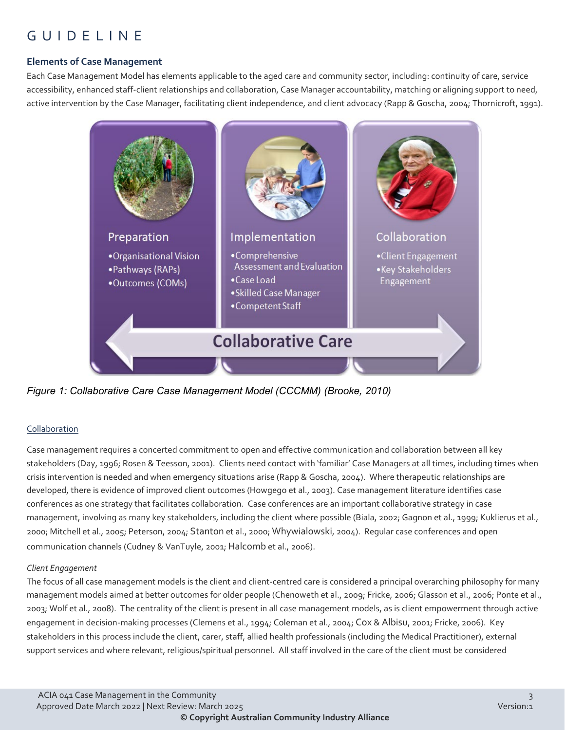## GUIDELINE

#### **Elements of Case Management**

Each Case Management Model has elements applicable to the aged care and community sector, including: continuity of care, service accessibility, enhanced staff-client relationships and collaboration, Case Manager accountability, matching or aligning support to need, active intervention by the Case Manager, facilitating client independence, and client advocacy (Rapp & Goscha, 2004; Thornicroft, 1991).



*Figure 1: Collaborative Care Case Management Model (CCCMM) (Brooke, 2010)*

#### Collaboration

Case management requires a concerted commitment to open and effective communication and collaboration between all key stakeholders (Day, 1996; Rosen & Teesson, 2001). Clients need contact with 'familiar' Case Managers at all times, including times when crisis intervention is needed and when emergency situations arise (Rapp & Goscha, 2004). Where therapeutic relationships are developed, there is evidence of improved client outcomes (Howgego et al., 2003). Case management literature identifies case conferences as one strategy that facilitates collaboration. Case conferences are an important collaborative strategy in case management, involving as many key stakeholders, including the client where possible (Biala, 2002; Gagnon et al., 1999; Kuklierus et al., 2000; Mitchell et al., 2005; Peterson, 2004; Stanton et al., 2000; Whywialowski, 2004). Regular case conferences and open communication channels (Cudney & VanTuyle, 2001; Halcomb et al., 2006).

#### *Client Engagement*

The focus of all case management models is the client and client-centred care is considered a principal overarching philosophy for many management models aimed at better outcomes for older people (Chenoweth et al., 2009; Fricke, 2006; Glasson et al., 2006; Ponte et al., 2003; Wolf et al., 2008). The centrality of the client is present in all case management models, as is client empowerment through active engagement in decision-making processes (Clemens et al., 1994; Coleman et al., 2004; Cox & Albisu, 2001; Fricke, 2006). Key stakeholders in this process include the client, carer, staff, allied health professionals (including the Medical Practitioner), external support services and where relevant, religious/spiritual personnel. All staff involved in the care of the client must be considered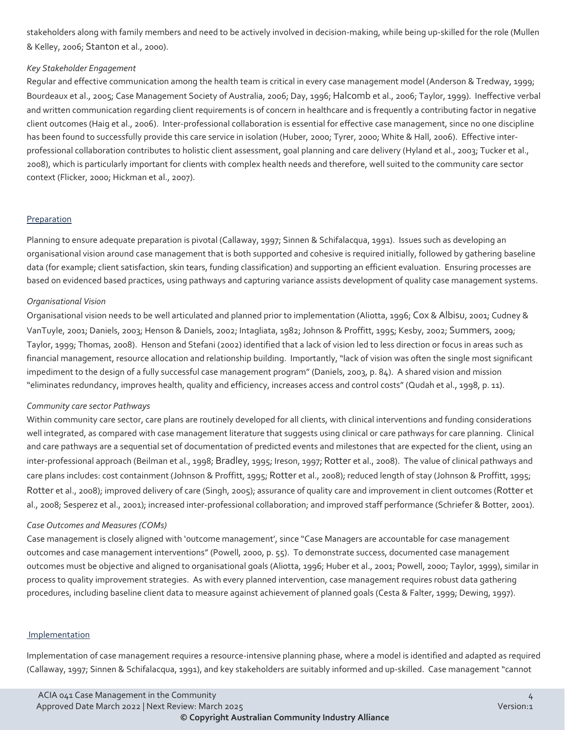stakeholders along with family members and need to be actively involved in decision-making, while being up-skilled for the role (Mullen & Kelley, 2006; Stanton et al., 2000).

#### *Key Stakeholder Engagement*

Regular and effective communication among the health team is critical in every case management model (Anderson & Tredway, 1999; Bourdeaux et al., 2005; Case Management Society of Australia, 2006; Day, 1996; Halcomb et al., 2006; Taylor, 1999). Ineffective verbal and written communication regarding client requirements is of concern in healthcare and is frequently a contributing factor in negative client outcomes (Haig et al., 2006). Inter-professional collaboration is essential for effective case management, since no one discipline has been found to successfully provide this care service in isolation (Huber, 2000; Tyrer, 2000; White & Hall, 2006). Effective interprofessional collaboration contributes to holistic client assessment, goal planning and care delivery (Hyland et al., 2003; Tucker et al., 2008), which is particularly important for clients with complex health needs and therefore, well suited to the community care sector context (Flicker, 2000; Hickman et al., 2007).

#### Preparation

Planning to ensure adequate preparation is pivotal (Callaway, 1997; Sinnen & Schifalacqua, 1991). Issues such as developing an organisational vision around case management that is both supported and cohesive is required initially, followed by gathering baseline data (for example; client satisfaction, skin tears, funding classification) and supporting an efficient evaluation. Ensuring processes are based on evidenced based practices, using pathways and capturing variance assists development of quality case management systems.

#### *Organisational Vision*

Organisational vision needs to be well articulated and planned prior to implementation (Aliotta, 1996; Cox & Albisu, 2001; Cudney & VanTuyle, 2001; Daniels, 2003; Henson & Daniels, 2002; Intagliata, 1982; Johnson & Proffitt, 1995; Kesby, 2002; Summers, 2009; Taylor, 1999; Thomas, 2008). Henson and Stefani (2002) identified that a lack of vision led to less direction or focus in areas such as financial management, resource allocation and relationship building. Importantly, "lack of vision was often the single most significant impediment to the design of a fully successful case management program" (Daniels, 2003, p. 84). A shared vision and mission "eliminates redundancy, improves health, quality and efficiency, increases access and control costs" (Qudah et al., 1998, p. 11).

#### *Community care sector Pathways*

Within community care sector, care plans are routinely developed for all clients, with clinical interventions and funding considerations well integrated, as compared with case management literature that suggests using clinical or care pathways for care planning. Clinical and care pathways are a sequential set of documentation of predicted events and milestones that are expected for the client, using an inter-professional approach (Beilman et al., 1998; Bradley, 1995; Ireson, 1997; Rotter et al., 2008). The value of clinical pathways and care plans includes: cost containment (Johnson & Proffitt, 1995; Rotter et al., 2008); reduced length of stay (Johnson & Proffitt, 1995; Rotter et al., 2008); improved delivery of care (Singh, 2005); assurance of quality care and improvement in client outcomes (Rotter et al., 2008; Sesperez et al., 2001); increased inter-professional collaboration; and improved staff performance (Schriefer & Botter, 2001).

#### *Case Outcomes and Measures (COMs)*

Case management is closely aligned with 'outcome management', since "Case Managers are accountable for case management outcomes and case management interventions" (Powell, 2000, p. 55). To demonstrate success, documented case management outcomes must be objective and aligned to organisational goals (Aliotta, 1996; Huber et al., 2001; Powell, 2000; Taylor, 1999), similar in process to quality improvement strategies. As with every planned intervention, case management requires robust data gathering procedures, including baseline client data to measure against achievement of planned goals (Cesta & Falter, 1999; Dewing, 1997).

#### **Implementation**

Implementation of case management requires a resource-intensive planning phase, where a model is identified and adapted as required (Callaway, 1997; Sinnen & Schifalacqua, 1991), and key stakeholders are suitably informed and up-skilled. Case management "cannot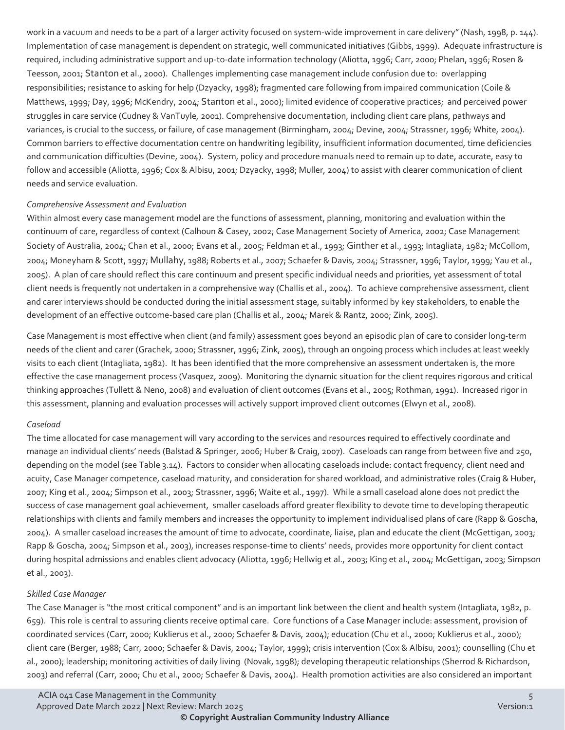work in a vacuum and needs to be a part of a larger activity focused on system-wide improvement in care delivery" (Nash, 1998, p. 144). Implementation of case management is dependent on strategic, well communicated initiatives (Gibbs, 1999). Adequate infrastructure is required, including administrative support and up-to-date information technology (Aliotta, 1996; Carr, 2000; Phelan, 1996; Rosen & Teesson, 2001; Stanton et al., 2000). Challenges implementing case management include confusion due to: overlapping responsibilities; resistance to asking for help (Dzyacky, 1998); fragmented care following from impaired communication (Coile & Matthews, 1999; Day, 1996; McKendry, 2004; Stanton et al., 2000); limited evidence of cooperative practices; and perceived power struggles in care service (Cudney & VanTuyle, 2001). Comprehensive documentation, including client care plans, pathways and variances, is crucial to the success, or failure, of case management (Birmingham, 2004; Devine, 2004; Strassner, 1996; White, 2004). Common barriers to effective documentation centre on handwriting legibility, insufficient information documented, time deficiencies and communication difficulties (Devine, 2004). System, policy and procedure manuals need to remain up to date, accurate, easy to follow and accessible (Aliotta, 1996; Cox & Albisu, 2001; Dzyacky, 1998; Muller, 2004) to assist with clearer communication of client needs and service evaluation.

#### *Comprehensive Assessment and Evaluation*

Within almost every case management model are the functions of assessment, planning, monitoring and evaluation within the continuum of care, regardless of context (Calhoun & Casey, 2002; Case Management Society of America, 2002; Case Management Society of Australia, 2004; Chan et al., 2000; Evans et al., 2005; Feldman et al., 1993; Ginther et al., 1993; Intagliata, 1982; McCollom, 2004; Moneyham & Scott, 1997; Mullahy, 1988; Roberts et al., 2007; Schaefer & Davis, 2004; Strassner, 1996; Taylor, 1999; Yau et al., 2005). A plan of care should reflect this care continuum and present specific individual needs and priorities, yet assessment of total client needs is frequently not undertaken in a comprehensive way (Challis et al., 2004). To achieve comprehensive assessment, client and carer interviews should be conducted during the initial assessment stage, suitably informed by key stakeholders, to enable the development of an effective outcome-based care plan (Challis et al., 2004; Marek & Rantz, 2000; Zink, 2005).

Case Management is most effective when client (and family) assessment goes beyond an episodic plan of care to consider long-term needs of the client and carer (Grachek, 2000; Strassner, 1996; Zink, 2005), through an ongoing process which includes at least weekly visits to each client (Intagliata, 1982). It has been identified that the more comprehensive an assessment undertaken is, the more effective the case management process (Vasquez, 2009). Monitoring the dynamic situation for the client requires rigorous and critical thinking approaches (Tullett & Neno, 2008) and evaluation of client outcomes (Evans et al., 2005; Rothman, 1991). Increased rigor in this assessment, planning and evaluation processes will actively support improved client outcomes (Elwyn et al., 2008).

### *Caseload*

The time allocated for case management will vary according to the services and resources required to effectively coordinate and manage an individual clients' needs (Balstad & Springer, 2006; Huber & Craig, 2007). Caseloads can range from between five and 250, depending on the model (see Table 3.14). Factors to consider when allocating caseloads include: contact frequency, client need and acuity, Case Manager competence, caseload maturity, and consideration for shared workload, and administrative roles (Craig & Huber, 2007; King et al., 2004; Simpson et al., 2003; Strassner, 1996; Waite et al., 1997). While a small caseload alone does not predict the success of case management goal achievement, smaller caseloads afford greater flexibility to devote time to developing therapeutic relationships with clients and family members and increases the opportunity to implement individualised plans of care (Rapp & Goscha, 2004). A smaller caseload increases the amount of time to advocate, coordinate, liaise, plan and educate the client (McGettigan, 2003; Rapp & Goscha, 2004; Simpson et al., 2003), increases response-time to clients' needs, provides more opportunity for client contact during hospital admissions and enables client advocacy (Aliotta, 1996; Hellwig et al., 2003; King et al., 2004; McGettigan, 2003; Simpson et al., 2003).

### *Skilled Case Manager*

The Case Manager is "the most critical component" and is an important link between the client and health system (Intagliata, 1982, p. 659). This role is central to assuring clients receive optimal care. Core functions of a Case Manager include: assessment, provision of coordinated services (Carr, 2000; Kuklierus et al., 2000; Schaefer & Davis, 2004); education (Chu et al., 2000; Kuklierus et al., 2000); client care (Berger, 1988; Carr, 2000; Schaefer & Davis, 2004; Taylor, 1999); crisis intervention (Cox & Albisu, 2001); counselling (Chu et al., 2000); leadership; monitoring activities of daily living (Novak, 1998); developing therapeutic relationships (Sherrod & Richardson, 2003) and referral (Carr, 2000; Chu et al., 2000; Schaefer & Davis, 2004). Health promotion activities are also considered an important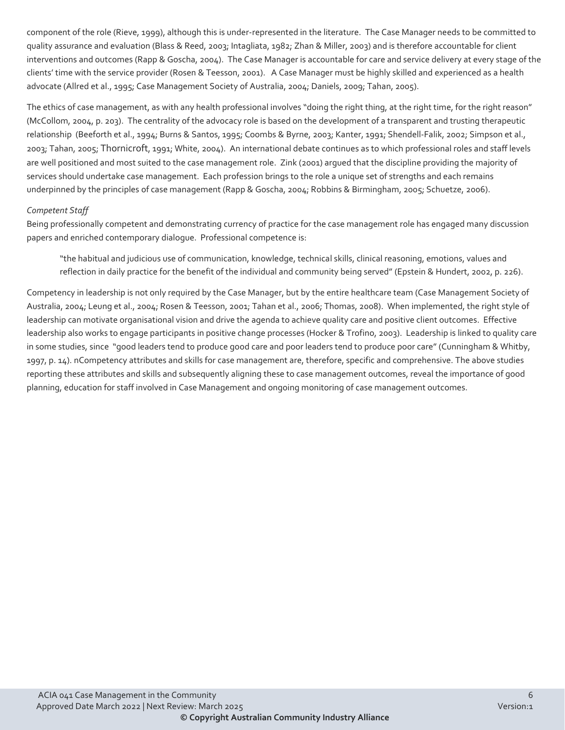component of the role (Rieve, 1999), although this is under-represented in the literature. The Case Manager needs to be committed to quality assurance and evaluation (Blass & Reed, 2003; Intagliata, 1982; Zhan & Miller, 2003) and is therefore accountable for client interventions and outcomes (Rapp & Goscha, 2004). The Case Manager is accountable for care and service delivery at every stage of the clients' time with the service provider (Rosen & Teesson, 2001). A Case Manager must be highly skilled and experienced as a health advocate (Allred et al., 1995; Case Management Society of Australia, 2004; Daniels, 2009; Tahan, 2005).

The ethics of case management, as with any health professional involves "doing the right thing, at the right time, for the right reason" (McCollom, 2004, p. 203). The centrality of the advocacy role is based on the development of a transparent and trusting therapeutic relationship (Beeforth et al., 1994; Burns & Santos, 1995; Coombs & Byrne, 2003; Kanter, 1991; Shendell-Falik, 2002; Simpson et al., 2003; Tahan, 2005; Thornicroft, 1991; White, 2004). An international debate continues as to which professional roles and staff levels are well positioned and most suited to the case management role. Zink (2001) argued that the discipline providing the majority of services should undertake case management. Each profession brings to the role a unique set of strengths and each remains underpinned by the principles of case management (Rapp & Goscha, 2004; Robbins & Birmingham, 2005; Schuetze, 2006).

#### *Competent Staff*

Being professionally competent and demonstrating currency of practice for the case management role has engaged many discussion papers and enriched contemporary dialogue. Professional competence is:

"the habitual and judicious use of communication, knowledge, technical skills, clinical reasoning, emotions, values and reflection in daily practice for the benefit of the individual and community being served" (Epstein & Hundert, 2002, p. 226).

Competency in leadership is not only required by the Case Manager, but by the entire healthcare team (Case Management Society of Australia, 2004; Leung et al., 2004; Rosen & Teesson, 2001; Tahan et al., 2006; Thomas, 2008). When implemented, the right style of leadership can motivate organisational vision and drive the agenda to achieve quality care and positive client outcomes. Effective leadership also works to engage participants in positive change processes (Hocker & Trofino, 2003). Leadership is linked to quality care in some studies, since "good leaders tend to produce good care and poor leaders tend to produce poor care" (Cunningham & Whitby, 1997, p. 14). nCompetency attributes and skills for case management are, therefore, specific and comprehensive. The above studies reporting these attributes and skills and subsequently aligning these to case management outcomes, reveal the importance of good planning, education for staff involved in Case Management and ongoing monitoring of case management outcomes.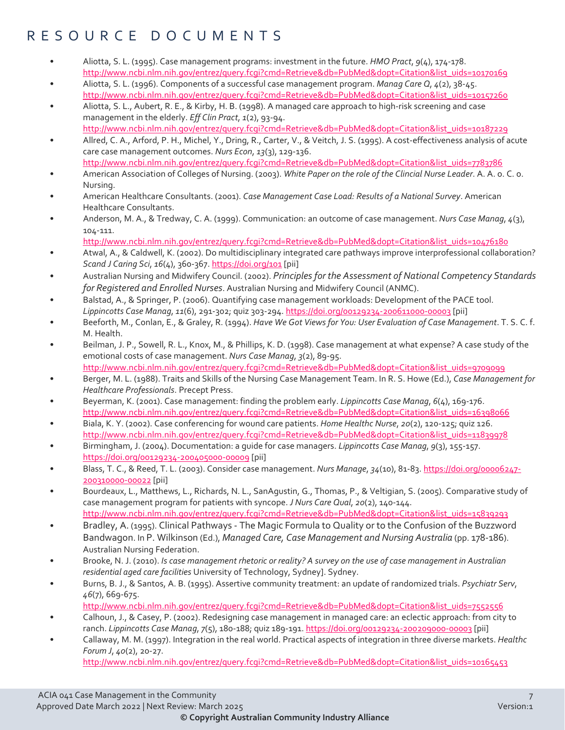## RESOURCE DOCUMENTS

- Aliotta, S. L. (1995). Case management programs: investment in the future. *HMO Pract*, *9*(4), 174-178. [http://www.ncbi.nlm.nih.gov/entrez/query.fcgi?cmd=Retrieve&db=PubMed&dopt=Citation&list\\_uids=10170169](http://www.ncbi.nlm.nih.gov/entrez/query.fcgi?cmd=Retrieve&db=PubMed&dopt=Citation&list_uids=10170169)
- Aliotta, S. L. (1996). Components of a successful case management program. *Manag Care Q*, *4*(2), 38-45. [http://www.ncbi.nlm.nih.gov/entrez/query.fcgi?cmd=Retrieve&db=PubMed&dopt=Citation&list\\_uids=10157260](http://www.ncbi.nlm.nih.gov/entrez/query.fcgi?cmd=Retrieve&db=PubMed&dopt=Citation&list_uids=10157260)
- Aliotta, S. L., Aubert, R. E., & Kirby, H. B. (1998). A managed care approach to high-risk screening and case management in the elderly. *Eff Clin Pract*, *1*(2), 93-94.
- [http://www.ncbi.nlm.nih.gov/entrez/query.fcgi?cmd=Retrieve&db=PubMed&dopt=Citation&list\\_uids=10187229](http://www.ncbi.nlm.nih.gov/entrez/query.fcgi?cmd=Retrieve&db=PubMed&dopt=Citation&list_uids=10187229)  • Allred, C. A., Arford, P. H., Michel, Y., Dring, R., Carter, V., & Veitch, J. S. (1995). A cost-effectiveness analysis of acute
- care case management outcomes. *Nurs Econ*, *13*(3), 129-136. [http://www.ncbi.nlm.nih.gov/entrez/query.fcgi?cmd=Retrieve&db=PubMed&dopt=Citation&list\\_uids=7783786](http://www.ncbi.nlm.nih.gov/entrez/query.fcgi?cmd=Retrieve&db=PubMed&dopt=Citation&list_uids=7783786)
- American Association of Colleges of Nursing. (2003). *White Paper on the role of the Clincial Nurse Leader*. A. A. o. C. o. Nursing.
- American Healthcare Consultants. (2001). *Case Management Case Load: Results of a National Survey*. American Healthcare Consultants.
- Anderson, M. A., & Tredway, C. A. (1999). Communication: an outcome of case management. *Nurs Case Manag*, *4*(3), 104-111.
- [http://www.ncbi.nlm.nih.gov/entrez/query.fcgi?cmd=Retrieve&db=PubMed&dopt=Citation&list\\_uids=10476180](http://www.ncbi.nlm.nih.gov/entrez/query.fcgi?cmd=Retrieve&db=PubMed&dopt=Citation&list_uids=10476180)
- Atwal, A., & Caldwell, K. (2002). Do multidisciplinary integrated care pathways improve interprofessional collaboration? *Scand J Caring Sci*, *16*(4), 360-367[. https://doi.org/101](https://doi.org/101) [pii]
- Australian Nursing and Midwifery Council. (2002). *Principles for the Assessment of National Competency Standards for Registered and Enrolled Nurses*. Australian Nursing and Midwifery Council (ANMC).
- Balstad, A., & Springer, P. (2006). Quantifying case management workloads: Development of the PACE tool. *Lippincotts Case Manag*, *11*(6), 291-302; quiz 303-294.<https://doi.org/00129234-200611000-00003> [pii]
- Beeforth, M., Conlan, E., & Graley, R. (1994). *Have We Got Views for You: User Evaluation of Case Management*. T. S. C. f. M. Health.
- Beilman, J. P., Sowell, R. L., Knox, M., & Phillips, K. D. (1998). Case management at what expense? A case study of the emotional costs of case management. *Nurs Case Manag*, *3*(2), 89-95. [http://www.ncbi.nlm.nih.gov/entrez/query.fcgi?cmd=Retrieve&db=PubMed&dopt=Citation&list\\_uids=9709099](http://www.ncbi.nlm.nih.gov/entrez/query.fcgi?cmd=Retrieve&db=PubMed&dopt=Citation&list_uids=9709099)
- Berger, M. L. (1988). Traits and Skills of the Nursing Case Management Team. In R. S. Howe (Ed.), *Case Management for Healthcare Professionals*. Precept Press.
- Beyerman, K. (2001). Case management: finding the problem early. *Lippincotts Case Manag*, *6*(4), 169-176. [http://www.ncbi.nlm.nih.gov/entrez/query.fcgi?cmd=Retrieve&db=PubMed&dopt=Citation&list\\_uids=16398066](http://www.ncbi.nlm.nih.gov/entrez/query.fcgi?cmd=Retrieve&db=PubMed&dopt=Citation&list_uids=16398066)
- Biala, K. Y. (2002). Case conferencing for wound care patients. *Home Healthc Nurse*, *20*(2), 120-125; quiz 126. [http://www.ncbi.nlm.nih.gov/entrez/query.fcgi?cmd=Retrieve&db=PubMed&dopt=Citation&list\\_uids=11839978](http://www.ncbi.nlm.nih.gov/entrez/query.fcgi?cmd=Retrieve&db=PubMed&dopt=Citation&list_uids=11839978)
- Birmingham, J. (2004). Documentation: a guide for case managers. *Lippincotts Case Manag*, *9*(3), 155-157. <https://doi.org/00129234-200405000-00009> [pii]
- Blass, T. C., & Reed, T. L. (2003). Consider case management. *Nurs Manage*, *34*(10), 81-83[. https://doi.org/00006247-](https://doi.org/00006247-200310000-00022) [200310000-00022](https://doi.org/00006247-200310000-00022) [pii]
- Bourdeaux, L., Matthews, L., Richards, N. L., SanAgustin, G., Thomas, P., & Veltigian, S. (2005). Comparative study of case management program for patients with syncope. *J Nurs Care Qual*, *20*(2), 140-144. [http://www.ncbi.nlm.nih.gov/entrez/query.fcgi?cmd=Retrieve&db=PubMed&dopt=Citation&list\\_uids=15839293](http://www.ncbi.nlm.nih.gov/entrez/query.fcgi?cmd=Retrieve&db=PubMed&dopt=Citation&list_uids=15839293)
- Bradley, A. (1995). Clinical Pathways The Magic Formula to Quality or to the Confusion of the Buzzword Bandwagon. In P. Wilkinson (Ed.), *Managed Care, Case Management and Nursing Australia* (pp. 178-186). Australian Nursing Federation.
- Brooke, N. J. (2010). *Is case management rhetoric or reality? A survey on the use of case management in Australian residential aged care facilities* University of Technology, Sydney]. Sydney.
- Burns, B. J., & Santos, A. B. (1995). Assertive community treatment: an update of randomized trials. *Psychiatr Serv*, *46*(7), 669-675.
- [http://www.ncbi.nlm.nih.gov/entrez/query.fcgi?cmd=Retrieve&db=PubMed&dopt=Citation&list\\_uids=7552556](http://www.ncbi.nlm.nih.gov/entrez/query.fcgi?cmd=Retrieve&db=PubMed&dopt=Citation&list_uids=7552556)
- Calhoun, J., & Casey, P. (2002). Redesigning case management in managed care: an eclectic approach: from city to ranch. *Lippincotts Case Manag*, *7*(5), 180-188; quiz 189-191[. https://doi.org/00129234-200209000-00003](https://doi.org/00129234-200209000-00003) [pii]
- Callaway, M. M. (1997). Integration in the real world. Practical aspects of integration in three diverse markets. *Healthc Forum J*, *40*(2), 20-27.

[http://www.ncbi.nlm.nih.gov/entrez/query.fcgi?cmd=Retrieve&db=PubMed&dopt=Citation&list\\_uids=10165453](http://www.ncbi.nlm.nih.gov/entrez/query.fcgi?cmd=Retrieve&db=PubMed&dopt=Citation&list_uids=10165453)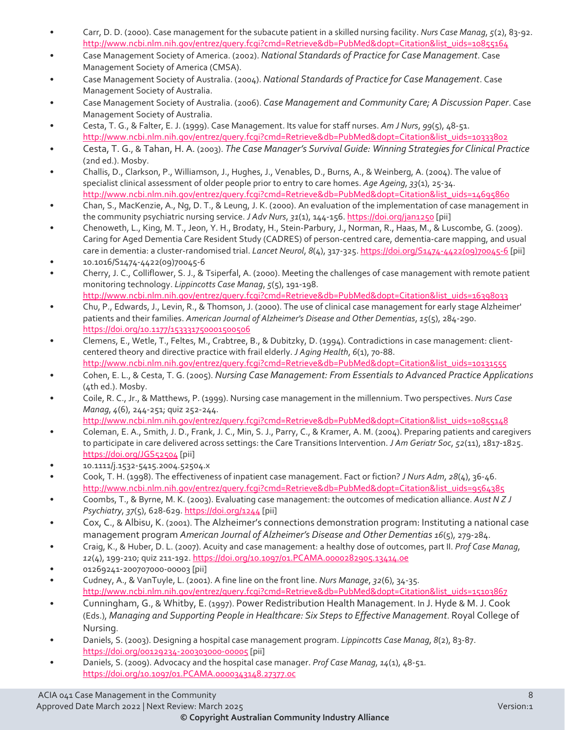- Carr, D. D. (2000). Case management for the subacute patient in a skilled nursing facility. *Nurs Case Manag*, *5*(2), 83-92. [http://www.ncbi.nlm.nih.gov/entrez/query.fcgi?cmd=Retrieve&db=PubMed&dopt=Citation&list\\_uids=10855164](http://www.ncbi.nlm.nih.gov/entrez/query.fcgi?cmd=Retrieve&db=PubMed&dopt=Citation&list_uids=10855164)
- Case Management Society of America. (2002). *National Standards of Practice for Case Management*. Case Management Society of America (CMSA).
- Case Management Society of Australia. (2004). *National Standards of Practice for Case Management*. Case Management Society of Australia.
- Case Management Society of Australia. (2006). *Case Management and Community Care; A Discussion Paper*. Case Management Society of Australia.
- Cesta, T. G., & Falter, E. J. (1999). Case Management. Its value for staff nurses. *Am J Nurs*, *99*(5), 48-51. [http://www.ncbi.nlm.nih.gov/entrez/query.fcgi?cmd=Retrieve&db=PubMed&dopt=Citation&list\\_uids=10333802](http://www.ncbi.nlm.nih.gov/entrez/query.fcgi?cmd=Retrieve&db=PubMed&dopt=Citation&list_uids=10333802)
- Cesta, T. G., & Tahan, H. A. (2003). *The Case Manager's Survival Guide: Winning Strategies for Clinical Practice*  (2nd ed.). Mosby.
- Challis, D., Clarkson, P., Williamson, J., Hughes, J., Venables, D., Burns, A., & Weinberg, A. (2004). The value of specialist clinical assessment of older people prior to entry to care homes. *Age Ageing*, *33*(1), 25-34. [http://www.ncbi.nlm.nih.gov/entrez/query.fcgi?cmd=Retrieve&db=PubMed&dopt=Citation&list\\_uids=14695860](http://www.ncbi.nlm.nih.gov/entrez/query.fcgi?cmd=Retrieve&db=PubMed&dopt=Citation&list_uids=14695860)
- Chan, S., MacKenzie, A., Ng, D. T., & Leung, J. K. (2000). An evaluation of the implementation of case management in the community psychiatric nursing service. *J Adv Nurs*, *31*(1), 144-156[. https://doi.org/jan1250](https://doi.org/jan1250) [pii]
- Chenoweth, L., King, M. T., Jeon, Y. H., Brodaty, H., Stein-Parbury, J., Norman, R., Haas, M., & Luscombe, G. (2009). Caring for Aged Dementia Care Resident Study (CADRES) of person-centred care, dementia-care mapping, and usual care in dementia: a cluster-randomised trial. *Lancet Neurol*, *8*(4), 317-325. [https://doi.org/S1474-4422\(09\)70045-6](https://doi.org/S1474-4422(09)70045-6) [pii]
- 10.1016/S1474-4422(09)70045-6
- Cherry, J. C., Colliflower, S. J., & Tsiperfal, A. (2000). Meeting the challenges of case management with remote patient monitoring technology. *Lippincotts Case Manag*, *5*(5), 191-198. [http://www.ncbi.nlm.nih.gov/entrez/query.fcgi?cmd=Retrieve&db=PubMed&dopt=Citation&list\\_uids=16398033](http://www.ncbi.nlm.nih.gov/entrez/query.fcgi?cmd=Retrieve&db=PubMed&dopt=Citation&list_uids=16398033)
- Chu, P., Edwards, J., Levin, R., & Thomson, J. (2000). The use of clinical case management for early stage Alzheimer' patients and their families. *American Journal of Alzheimer's Disease and Other Dementias*, *15*(5), 284-290. <https://doi.org/10.1177/153331750001500506>
- Clemens, E., Wetle, T., Feltes, M., Crabtree, B., & Dubitzky, D. (1994). Contradictions in case management: clientcentered theory and directive practice with frail elderly. *J Aging Health*, 6(1), 70-88. [http://www.ncbi.nlm.nih.gov/entrez/query.fcgi?cmd=Retrieve&db=PubMed&dopt=Citation&list\\_uids=10131555](http://www.ncbi.nlm.nih.gov/entrez/query.fcgi?cmd=Retrieve&db=PubMed&dopt=Citation&list_uids=10131555)
- Cohen, E. L., & Cesta, T. G. (2005). *Nursing Case Management: From Essentials to Advanced Practice Applications*  (4th ed.). Mosby.
- Coile, R. C., Jr., & Matthews, P. (1999). Nursing case management in the millennium. Two perspectives. *Nurs Case Manag*, *4*(6), 244-251; quiz 252-244.
- [http://www.ncbi.nlm.nih.gov/entrez/query.fcgi?cmd=Retrieve&db=PubMed&dopt=Citation&list\\_uids=10855148](http://www.ncbi.nlm.nih.gov/entrez/query.fcgi?cmd=Retrieve&db=PubMed&dopt=Citation&list_uids=10855148)
- Coleman, E. A., Smith, J. D., Frank, J. C., Min, S. J., Parry, C., & Kramer, A. M. (2004). Preparing patients and caregivers to participate in care delivered across settings: the Care Transitions Intervention. *J Am Geriatr Soc*, *52*(11), 1817-1825. <https://doi.org/JGS52504> [pii]
- 10.1111/j.1532-5415.2004.52504.x
- Cook, T. H. (1998). The effectiveness of inpatient case management. Fact or fiction? *J Nurs Adm*, *28*(4), 36-46. [http://www.ncbi.nlm.nih.gov/entrez/query.fcgi?cmd=Retrieve&db=PubMed&dopt=Citation&list\\_uids=9564385](http://www.ncbi.nlm.nih.gov/entrez/query.fcgi?cmd=Retrieve&db=PubMed&dopt=Citation&list_uids=9564385)
- Coombs, T., & Byrne, M. K. (2003). Evaluating case management: the outcomes of medication alliance. *Aust N Z J Psychiatry*, *37*(5), 628-629[. https://doi.org/1244](https://doi.org/1244) [pii]
- Cox, C., & Albisu, K. (2001). The Alzheimer's connections demonstration program: Instituting a national case management program *American Journal of Alzheimer's Disease and Other Dementias 16*(5), 279-284.
- Craig, K., & Huber, D. L. (2007). Acuity and case management: a healthy dose of outcomes, part II. *Prof Case Manag*, *12*(4), 199-210; quiz 211-192.<https://doi.org/10.1097/01.PCAMA.0000282905.13414.0e>
- 01269241-200707000-00003 [pii]
- Cudney, A., & VanTuyle, L. (2001). A fine line on the front line. *Nurs Manage*, *32*(6), 34-35. [http://www.ncbi.nlm.nih.gov/entrez/query.fcgi?cmd=Retrieve&db=PubMed&dopt=Citation&list\\_uids=15103867](http://www.ncbi.nlm.nih.gov/entrez/query.fcgi?cmd=Retrieve&db=PubMed&dopt=Citation&list_uids=15103867)
- Cunningham, G., & Whitby, E. (1997). Power Redistribution Health Management. In J. Hyde & M. J. Cook (Eds.), *Managing and Supporting People in Healthcare: Six Steps to Effective Management*. Royal College of Nursing.
- Daniels, S. (2003). Designing a hospital case management program. *Lippincotts Case Manag*, *8*(2), 83-87. <https://doi.org/00129234-200303000-00005> [pii]
- Daniels, S. (2009). Advocacy and the hospital case manager. *Prof Case Manag*, *14*(1), 48-51. <https://doi.org/10.1097/01.PCAMA.0000343148.27377.0c>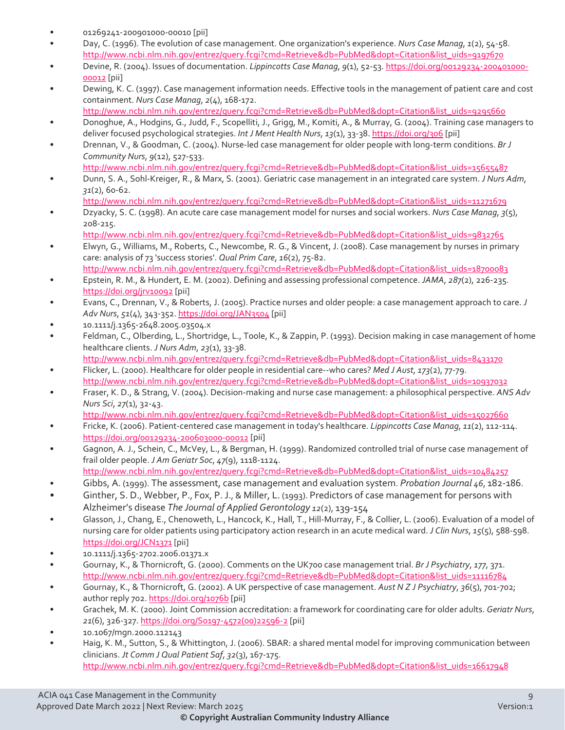- 01269241-200901000-00010 [pii]
- Day, C. (1996). The evolution of case management. One organization's experience. *Nurs Case Manag*, *1*(2), 54-58. [http://www.ncbi.nlm.nih.gov/entrez/query.fcgi?cmd=Retrieve&db=PubMed&dopt=Citation&list\\_uids=9197670](http://www.ncbi.nlm.nih.gov/entrez/query.fcgi?cmd=Retrieve&db=PubMed&dopt=Citation&list_uids=9197670)
- Devine, R. (2004). Issues of documentation. *Lippincotts Case Manag*, *9*(1), 52-53[. https://doi.org/00129234-200401000-](https://doi.org/00129234-200401000-00012) [00012](https://doi.org/00129234-200401000-00012) [pii]
- Dewing, K. C. (1997). Case management information needs. Effective tools in the management of patient care and cost containment. *Nurs Case Manag*, *2*(4), 168-172.
- [http://www.ncbi.nlm.nih.gov/entrez/query.fcgi?cmd=Retrieve&db=PubMed&dopt=Citation&list\\_uids=9295660](http://www.ncbi.nlm.nih.gov/entrez/query.fcgi?cmd=Retrieve&db=PubMed&dopt=Citation&list_uids=9295660)  • Donoghue, A., Hodgins, G., Judd, F., Scopelliti, J., Grigg, M., Komiti, A., & Murray, G. (2004). Training case managers to deliver focused psychological strategies. *Int J Ment Health Nurs*, *13*(1), 33-38[. https://doi.org/306](https://doi.org/306) [pii]
- Drennan, V., & Goodman, C. (2004). Nurse-led case management for older people with long-term conditions. *Br J Community Nurs*, *9*(12), 527-533.
- [http://www.ncbi.nlm.nih.gov/entrez/query.fcgi?cmd=Retrieve&db=PubMed&dopt=Citation&list\\_uids=15655487](http://www.ncbi.nlm.nih.gov/entrez/query.fcgi?cmd=Retrieve&db=PubMed&dopt=Citation&list_uids=15655487)  • Dunn, S. A., Sohl-Kreiger, R., & Marx, S. (2001). Geriatric case management in an integrated care system. *J Nurs Adm*, *31*(2), 60-62.
	- [http://www.ncbi.nlm.nih.gov/entrez/query.fcgi?cmd=Retrieve&db=PubMed&dopt=Citation&list\\_uids=11271679](http://www.ncbi.nlm.nih.gov/entrez/query.fcgi?cmd=Retrieve&db=PubMed&dopt=Citation&list_uids=11271679)
- Dzyacky, S. C. (1998). An acute care case management model for nurses and social workers. *Nurs Case Manag*, *3*(5), 208-215.
	- [http://www.ncbi.nlm.nih.gov/entrez/query.fcgi?cmd=Retrieve&db=PubMed&dopt=Citation&list\\_uids=9832765](http://www.ncbi.nlm.nih.gov/entrez/query.fcgi?cmd=Retrieve&db=PubMed&dopt=Citation&list_uids=9832765)
- Elwyn, G., Williams, M., Roberts, C., Newcombe, R. G., & Vincent, J. (2008). Case management by nurses in primary care: analysis of 73 'success stories'. *Qual Prim Care*, *16*(2), 75-82. [http://www.ncbi.nlm.nih.gov/entrez/query.fcgi?cmd=Retrieve&db=PubMed&dopt=Citation&list\\_uids=18700083](http://www.ncbi.nlm.nih.gov/entrez/query.fcgi?cmd=Retrieve&db=PubMed&dopt=Citation&list_uids=18700083)
- Epstein, R. M., & Hundert, E. M. (2002). Defining and assessing professional competence. *JAMA*, *287*(2), 226-235. <https://doi.org/jrv10092> [pii]
- Evans, C., Drennan, V., & Roberts, J. (2005). Practice nurses and older people: a case management approach to care. *J Adv Nurs*, *51*(4), 343-352[. https://doi.org/JAN3504](https://doi.org/JAN3504) [pii]
- 10.1111/j.1365-2648.2005.03504.x
- Feldman, C., Olberding, L., Shortridge, L., Toole, K., & Zappin, P. (1993). Decision making in case management of home healthcare clients. *J Nurs Adm*, *23*(1), 33-38. [http://www.ncbi.nlm.nih.gov/entrez/query.fcgi?cmd=Retrieve&db=PubMed&dopt=Citation&list\\_uids=8433170](http://www.ncbi.nlm.nih.gov/entrez/query.fcgi?cmd=Retrieve&db=PubMed&dopt=Citation&list_uids=8433170)
- Flicker, L. (2000). Healthcare for older people in residential care--who cares? *Med J Aust*, *173*(2), 77-79. [http://www.ncbi.nlm.nih.gov/entrez/query.fcgi?cmd=Retrieve&db=PubMed&dopt=Citation&list\\_uids=10937032](http://www.ncbi.nlm.nih.gov/entrez/query.fcgi?cmd=Retrieve&db=PubMed&dopt=Citation&list_uids=10937032)
- Fraser, K. D., & Strang, V. (2004). Decision-making and nurse case management: a philosophical perspective. *ANS Adv Nurs Sci*, *27*(1), 32-43.
	- [http://www.ncbi.nlm.nih.gov/entrez/query.fcgi?cmd=Retrieve&db=PubMed&dopt=Citation&list\\_uids=15027660](http://www.ncbi.nlm.nih.gov/entrez/query.fcgi?cmd=Retrieve&db=PubMed&dopt=Citation&list_uids=15027660)
- Fricke, K. (2006). Patient-centered case management in today's healthcare. *Lippincotts Case Manag*, *11*(2), 112-114. <https://doi.org/00129234-200603000-00012> [pii]
- Gagnon, A. J., Schein, C., McVey, L., & Bergman, H. (1999). Randomized controlled trial of nurse case management of frail older people. *J Am Geriatr Soc*, *47*(9), 1118-1124.
- [http://www.ncbi.nlm.nih.gov/entrez/query.fcgi?cmd=Retrieve&db=PubMed&dopt=Citation&list\\_uids=10484257](http://www.ncbi.nlm.nih.gov/entrez/query.fcgi?cmd=Retrieve&db=PubMed&dopt=Citation&list_uids=10484257)
- Gibbs, A. (1999). The assessment, case management and evaluation system. *Probation Journal 46*, 182-186.
- Ginther, S. D., Webber, P., Fox, P. J., & Miller, L. (1993). Predictors of case management for persons with Alzheimer's disease *The Journal of Applied Gerontology 12*(2), 139-154
- Glasson, J., Chang, E., Chenoweth, L., Hancock, K., Hall, T., Hill-Murray, F., & Collier, L. (2006). Evaluation of a model of nursing care for older patients using participatory action research in an acute medical ward. *J Clin Nurs*, *15*(5), 588-598. <https://doi.org/JCN1371> [pii]
- 10.1111/j.1365-2702.2006.01371.x
- Gournay, K., & Thornicroft, G. (2000). Comments on the UK700 case management trial. *Br J Psychiatry*, *177*, 371. [http://www.ncbi.nlm.nih.gov/entrez/query.fcgi?cmd=Retrieve&db=PubMed&dopt=Citation&list\\_uids=11116784](http://www.ncbi.nlm.nih.gov/entrez/query.fcgi?cmd=Retrieve&db=PubMed&dopt=Citation&list_uids=11116784)
- Gournay, K., & Thornicroft, G. (2002). A UK perspective of case management. *Aust N Z J Psychiatry*, *36*(5), 701-702; author reply 702[. https://doi.org/1076b](https://doi.org/1076b) [pii]
- Grachek, M. K. (2000). Joint Commission accreditation: a framework for coordinating care for older adults. *Geriatr Nurs*, *21*(6), 326-327[. https://doi.org/S0197-4572\(00\)22596-2](https://doi.org/S0197-4572(00)22596-2) [pii]
- 10.1067/mgn.2000.112143
- Haig, K. M., Sutton, S., & Whittington, J. (2006). SBAR: a shared mental model for improving communication between clinicians. *Jt Comm J Qual Patient Saf*, *32*(3), 167-175. [http://www.ncbi.nlm.nih.gov/entrez/query.fcgi?cmd=Retrieve&db=PubMed&dopt=Citation&list\\_uids=16617948](http://www.ncbi.nlm.nih.gov/entrez/query.fcgi?cmd=Retrieve&db=PubMed&dopt=Citation&list_uids=16617948)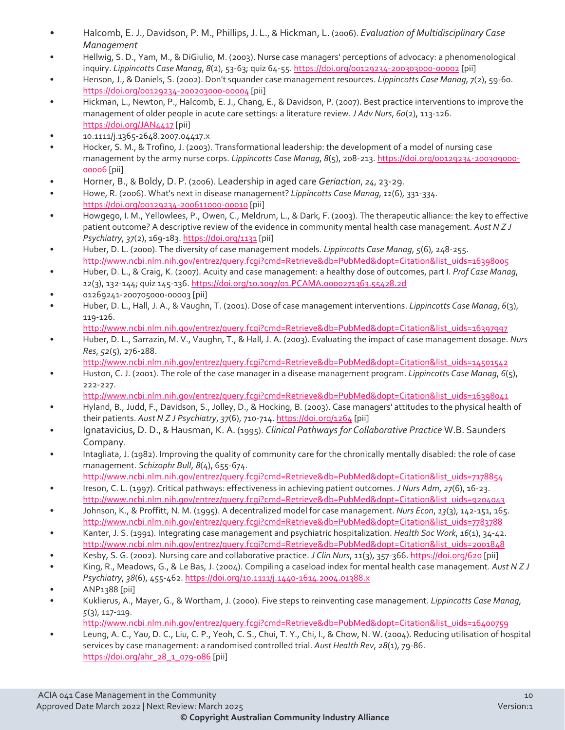- Halcomb, E. J., Davidson, P. M., Phillips, J. L., & Hickman, L. (2006). *Evaluation of Multidisciplinary Case Management*
- Hellwig, S. D., Yam, M., & DiGiulio, M. (2003). Nurse case managers' perceptions of advocacy: a phenomenological inquiry. *Lippincotts Case Manag*, *8*(2), 53-63; quiz 64-55[. https://doi.org/00129234-200303000-00002](https://doi.org/00129234-200303000-00002) [pii]
- Henson, J., & Daniels, S. (2002). Don't squander case management resources. *Lippincotts Case Manag*, *7*(2), 59-60. <https://doi.org/00129234-200203000-00004> [pii]
- Hickman, L., Newton, P., Halcomb, E. J., Chang, E., & Davidson, P. (2007). Best practice interventions to improve the management of older people in acute care settings: a literature review. *J Adv Nurs*, *60*(2), 113-126. <https://doi.org/JAN4417> [pii]
- 10.1111/j.1365-2648.2007.04417.x
- Hocker, S. M., & Trofino, J. (2003). Transformational leadership: the development of a model of nursing case management by the army nurse corps. *Lippincotts Case Manag*, *8*(5), 208-213[. https://doi.org/00129234-200309000-](https://doi.org/00129234-200309000-00006) [00006](https://doi.org/00129234-200309000-00006) [pii]
- Horner, B., & Boldy, D. P. (2006). Leadership in aged care *Geriaction*, *24*, 23-29.
- Howe, R. (2006). What's next in disease management? *Lippincotts Case Manag*, *11*(6), 331-334. <https://doi.org/00129234-200611000-00010> [pii]
- Howgego, I. M., Yellowlees, P., Owen, C., Meldrum, L., & Dark, F. (2003). The therapeutic alliance: the key to effective patient outcome? A descriptive review of the evidence in community mental health case management. *Aust N Z J Psychiatry*, *37*(2), 169-183[. https://doi.org/1131](https://doi.org/1131) [pii]
- Huber, D. L. (2000). The diversity of case management models. *Lippincotts Case Manag*, *5*(6), 248-255. [http://www.ncbi.nlm.nih.gov/entrez/query.fcgi?cmd=Retrieve&db=PubMed&dopt=Citation&list\\_uids=16398005](http://www.ncbi.nlm.nih.gov/entrez/query.fcgi?cmd=Retrieve&db=PubMed&dopt=Citation&list_uids=16398005)
- Huber, D. L., & Craig, K. (2007). Acuity and case management: a healthy dose of outcomes, part I. *Prof Case Manag*, *12*(3), 132-144; quiz 145-136[. https://doi.org/10.1097/01.PCAMA.0000271363.55428.2d](https://doi.org/10.1097/01.PCAMA.0000271363.55428.2d)
- 01269241-200705000-00003 [pii]
- Huber, D. L., Hall, J. A., & Vaughn, T. (2001). Dose of case management interventions. *Lippincotts Case Manag*, *6*(3), 119-126.
	- [http://www.ncbi.nlm.nih.gov/entrez/query.fcgi?cmd=Retrieve&db=PubMed&dopt=Citation&list\\_uids=16397997](http://www.ncbi.nlm.nih.gov/entrez/query.fcgi?cmd=Retrieve&db=PubMed&dopt=Citation&list_uids=16397997)
- Huber, D. L., Sarrazin, M. V., Vaughn, T., & Hall, J. A. (2003). Evaluating the impact of case management dosage. *Nurs Res*, *52*(5), 276-288.
	- [http://www.ncbi.nlm.nih.gov/entrez/query.fcgi?cmd=Retrieve&db=PubMed&dopt=Citation&list\\_uids=14501542](http://www.ncbi.nlm.nih.gov/entrez/query.fcgi?cmd=Retrieve&db=PubMed&dopt=Citation&list_uids=14501542)
- Huston, C. J. (2001). The role of the case manager in a disease management program. *Lippincotts Case Manag*, *6*(5), 222-227.
	- [http://www.ncbi.nlm.nih.gov/entrez/query.fcgi?cmd=Retrieve&db=PubMed&dopt=Citation&list\\_uids=16398041](http://www.ncbi.nlm.nih.gov/entrez/query.fcgi?cmd=Retrieve&db=PubMed&dopt=Citation&list_uids=16398041)
- Hyland, B., Judd, F., Davidson, S., Jolley, D., & Hocking, B. (2003). Case managers' attitudes to the physical health of their patients. *Aust N Z J Psychiatry*, *37*(6), 710-714[. https://doi.org/1264](https://doi.org/1264) [pii]
- Ignatavicius, D. D., & Hausman, K. A. (1995). *Clinical Pathways for Collaborative Practice* W.B. Saunders Company.
- Intagliata, J. (1982). Improving the quality of community care for the chronically mentally disabled: the role of case management. *Schizophr Bull*, *8*(4), 655-674.
	- [http://www.ncbi.nlm.nih.gov/entrez/query.fcgi?cmd=Retrieve&db=PubMed&dopt=Citation&list\\_uids=7178854](http://www.ncbi.nlm.nih.gov/entrez/query.fcgi?cmd=Retrieve&db=PubMed&dopt=Citation&list_uids=7178854)
- Ireson, C. L. (1997). Critical pathways: effectiveness in achieving patient outcomes. *J Nurs Adm*, *27*(6), 16-23. [http://www.ncbi.nlm.nih.gov/entrez/query.fcgi?cmd=Retrieve&db=PubMed&dopt=Citation&list\\_uids=9204043](http://www.ncbi.nlm.nih.gov/entrez/query.fcgi?cmd=Retrieve&db=PubMed&dopt=Citation&list_uids=9204043)
- Johnson, K., & Proffitt, N. M. (1995). A decentralized model for case management. *Nurs Econ*, *13*(3), 142-151, 165. [http://www.ncbi.nlm.nih.gov/entrez/query.fcgi?cmd=Retrieve&db=PubMed&dopt=Citation&list\\_uids=7783788](http://www.ncbi.nlm.nih.gov/entrez/query.fcgi?cmd=Retrieve&db=PubMed&dopt=Citation&list_uids=7783788)
- Kanter, J. S. (1991). Integrating case management and psychiatric hospitalization. *Health Soc Work*, *16*(1), 34-42. [http://www.ncbi.nlm.nih.gov/entrez/query.fcgi?cmd=Retrieve&db=PubMed&dopt=Citation&list\\_uids=2001848](http://www.ncbi.nlm.nih.gov/entrez/query.fcgi?cmd=Retrieve&db=PubMed&dopt=Citation&list_uids=2001848)
- Kesby, S. G. (2002). Nursing care and collaborative practice. *J Clin Nurs*, *11*(3), 357-366[. https://doi.org/620](https://doi.org/620) [pii]
- King, R., Meadows, G., & Le Bas, J. (2004). Compiling a caseload index for mental health case management. *Aust N Z J Psychiatry*, *38*(6), 455-462[. https://doi.org/10.1111/j.1440-1614.2004.01388.x](https://doi.org/10.1111/j.1440-1614.2004.01388.x)
- ANP1388 [pii]
- Kuklierus, A., Mayer, G., & Wortham, J. (2000). Five steps to reinventing case management. *Lippincotts Case Manag*, *5*(3), 117-119.
	- [http://www.ncbi.nlm.nih.gov/entrez/query.fcgi?cmd=Retrieve&db=PubMed&dopt=Citation&list\\_uids=16400759](http://www.ncbi.nlm.nih.gov/entrez/query.fcgi?cmd=Retrieve&db=PubMed&dopt=Citation&list_uids=16400759)
- Leung, A. C., Yau, D. C., Liu, C. P., Yeoh, C. S., Chui, T. Y., Chi, I., & Chow, N. W. (2004). Reducing utilisation of hospital services by case management: a randomised controlled trial. *Aust Health Rev*, *28*(1), 79-86. [https://doi.org/ahr\\_28\\_1\\_079-086](https://doi.org/ahr_28_1_079-086) [pii]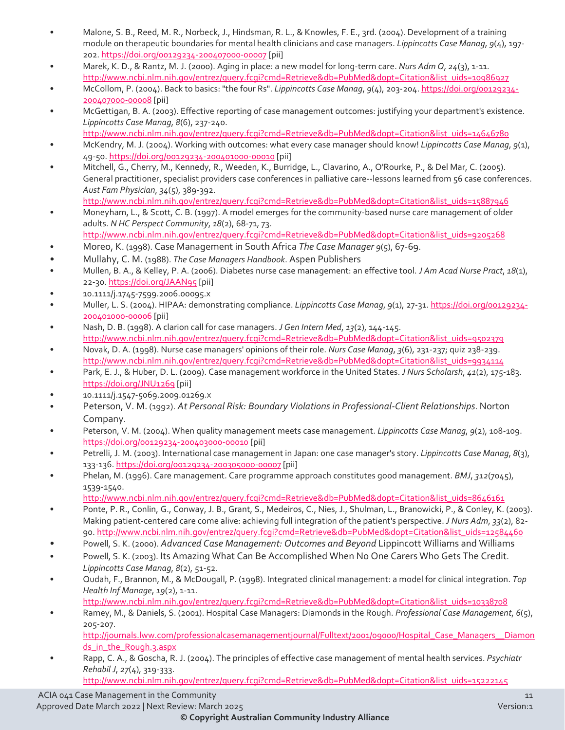- Malone, S. B., Reed, M. R., Norbeck, J., Hindsman, R. L., & Knowles, F. E., 3rd. (2004). Development of a training module on therapeutic boundaries for mental health clinicians and case managers. *Lippincotts Case Manag*, *9*(4), 197- 202.<https://doi.org/00129234-200407000-00007> [pii]
- Marek, K. D., & Rantz, M. J. (2000). Aging in place: a new model for long-term care. *Nurs Adm Q*, *24*(3), 1-11. [http://www.ncbi.nlm.nih.gov/entrez/query.fcgi?cmd=Retrieve&db=PubMed&dopt=Citation&list\\_uids=10986927](http://www.ncbi.nlm.nih.gov/entrez/query.fcgi?cmd=Retrieve&db=PubMed&dopt=Citation&list_uids=10986927)
- McCollom, P. (2004). Back to basics: "the four Rs". *Lippincotts Case Manag*, *9*(4), 203-204. [https://doi.org/00129234-](https://doi.org/00129234-200407000-00008) [200407000-00008](https://doi.org/00129234-200407000-00008) [pii]
- McGettigan, B. A. (2003). Effective reporting of case management outcomes: justifying your department's existence. *Lippincotts Case Manag*, *8*(6), 237-240.

[http://www.ncbi.nlm.nih.gov/entrez/query.fcgi?cmd=Retrieve&db=PubMed&dopt=Citation&list\\_uids=14646780](http://www.ncbi.nlm.nih.gov/entrez/query.fcgi?cmd=Retrieve&db=PubMed&dopt=Citation&list_uids=14646780) 

- McKendry, M. J. (2004). Working with outcomes: what every case manager should know! *Lippincotts Case Manag*, *9*(1), 49-50[. https://doi.org/00129234-200401000-00010](https://doi.org/00129234-200401000-00010) [pii]
- Mitchell, G., Cherry, M., Kennedy, R., Weeden, K., Burridge, L., Clavarino, A., O'Rourke, P., & Del Mar, C. (2005). General practitioner, specialist providers case conferences in palliative care--lessons learned from 56 case conferences. *Aust Fam Physician*, *34*(5), 389-392. [http://www.ncbi.nlm.nih.gov/entrez/query.fcgi?cmd=Retrieve&db=PubMed&dopt=Citation&list\\_uids=15887946](http://www.ncbi.nlm.nih.gov/entrez/query.fcgi?cmd=Retrieve&db=PubMed&dopt=Citation&list_uids=15887946)
- Moneyham, L., & Scott, C. B. (1997). A model emerges for the community-based nurse care management of older adults. *N HC Perspect Community*, *18*(2), 68-71, 73. [http://www.ncbi.nlm.nih.gov/entrez/query.fcgi?cmd=Retrieve&db=PubMed&dopt=Citation&list\\_uids=9205268](http://www.ncbi.nlm.nih.gov/entrez/query.fcgi?cmd=Retrieve&db=PubMed&dopt=Citation&list_uids=9205268)
- Moreo, K. (1998). Case Management in South Africa *The Case Manager 9*(5), 67-69.
- Mullahy, C. M. (1988). *The Case Managers Handbook*. Aspen Publishers
- Mullen, B. A., & Kelley, P. A. (2006). Diabetes nurse case management: an effective tool. *J Am Acad Nurse Pract*, *18*(1), 22-30.<https://doi.org/JAAN95> [pii]
- 10.1111/j.1745-7599.2006.00095.x
- Muller, L. S. (2004). HIPAA: demonstrating compliance. *Lippincotts Case Manag*, *9*(1), 27-31. [https://doi.org/00129234-](https://doi.org/00129234-200401000-00006) [200401000-00006](https://doi.org/00129234-200401000-00006) [pii]
- Nash, D. B. (1998). A clarion call for case managers. *J Gen Intern Med*, *13*(2), 144-145. [http://www.ncbi.nlm.nih.gov/entrez/query.fcgi?cmd=Retrieve&db=PubMed&dopt=Citation&list\\_uids=9502379](http://www.ncbi.nlm.nih.gov/entrez/query.fcgi?cmd=Retrieve&db=PubMed&dopt=Citation&list_uids=9502379)
- Novak, D. A. (1998). Nurse case managers' opinions of their role. *Nurs Case Manag*, *3*(6), 231-237; quiz 238-239. [http://www.ncbi.nlm.nih.gov/entrez/query.fcgi?cmd=Retrieve&db=PubMed&dopt=Citation&list\\_uids=9934114](http://www.ncbi.nlm.nih.gov/entrez/query.fcgi?cmd=Retrieve&db=PubMed&dopt=Citation&list_uids=9934114)
- Park, E. J., & Huber, D. L. (2009). Case management workforce in the United States. *J Nurs Scholarsh*, *41*(2), 175-183. <https://doi.org/JNU1269> [pii]
- 10.1111/j.1547-5069.2009.01269.x
- Peterson, V. M. (1992). *At Personal Risk: Boundary Violations in Professional-Client Relationships*. Norton Company.
- Peterson, V. M. (2004). When quality management meets case management. *Lippincotts Case Manag*, *9*(2), 108-109. <https://doi.org/00129234-200403000-00010> [pii]
- Petrelli, J. M. (2003). International case management in Japan: one case manager's story. *Lippincotts Case Manag*, *8*(3), 133-136.<https://doi.org/00129234-200305000-00007> [pii]
- Phelan, M. (1996). Care management. Care programme approach constitutes good management. *BMJ*, *312*(7045), 1539-1540.

[http://www.ncbi.nlm.nih.gov/entrez/query.fcgi?cmd=Retrieve&db=PubMed&dopt=Citation&list\\_uids=8646161](http://www.ncbi.nlm.nih.gov/entrez/query.fcgi?cmd=Retrieve&db=PubMed&dopt=Citation&list_uids=8646161) 

- Ponte, P. R., Conlin, G., Conway, J. B., Grant, S., Medeiros, C., Nies, J., Shulman, L., Branowicki, P., & Conley, K. (2003). Making patient-centered care come alive: achieving full integration of the patient's perspective. *J Nurs Adm*, *33*(2), 82- 90[. http://www.ncbi.nlm.nih.gov/entrez/query.fcgi?cmd=Retrieve&db=PubMed&dopt=Citation&list\\_uids=12584460](http://www.ncbi.nlm.nih.gov/entrez/query.fcgi?cmd=Retrieve&db=PubMed&dopt=Citation&list_uids=12584460)
- Powell, S. K. (2000). *Advanced Case Management: Outcomes and Beyond* Lippincott Williams and Williams
- Powell, S. K. (2003). Its Amazing What Can Be Accomplished When No One Carers Who Gets The Credit. *Lippincotts Case Manag*, *8*(2), 51-52.
- Qudah, F., Brannon, M., & McDougall, P. (1998). Integrated clinical management: a model for clinical integration. *Top Health Inf Manage*, *19*(2), 1-11.
	- [http://www.ncbi.nlm.nih.gov/entrez/query.fcgi?cmd=Retrieve&db=PubMed&dopt=Citation&list\\_uids=10338708](http://www.ncbi.nlm.nih.gov/entrez/query.fcgi?cmd=Retrieve&db=PubMed&dopt=Citation&list_uids=10338708)
- Ramey, M., & Daniels, S. (2001). Hospital Case Managers: Diamonds in the Rough. *Professional Case Management*, *6*(5), 205-207.

[http://journals.lww.com/professionalcasemanagementjournal/Fulltext/2001/09000/Hospital\\_Case\\_Managers\\_\\_Diamon](http://journals.lww.com/professionalcasemanagementjournal/Fulltext/2001/09000/Hospital_Case_Managers__Diamonds_in_the_Rough.3.aspx) [ds\\_in\\_the\\_Rough.3.aspx](http://journals.lww.com/professionalcasemanagementjournal/Fulltext/2001/09000/Hospital_Case_Managers__Diamonds_in_the_Rough.3.aspx) 

• Rapp, C. A., & Goscha, R. J. (2004). The principles of effective case management of mental health services. *Psychiatr Rehabil J*, *27*(4), 319-333.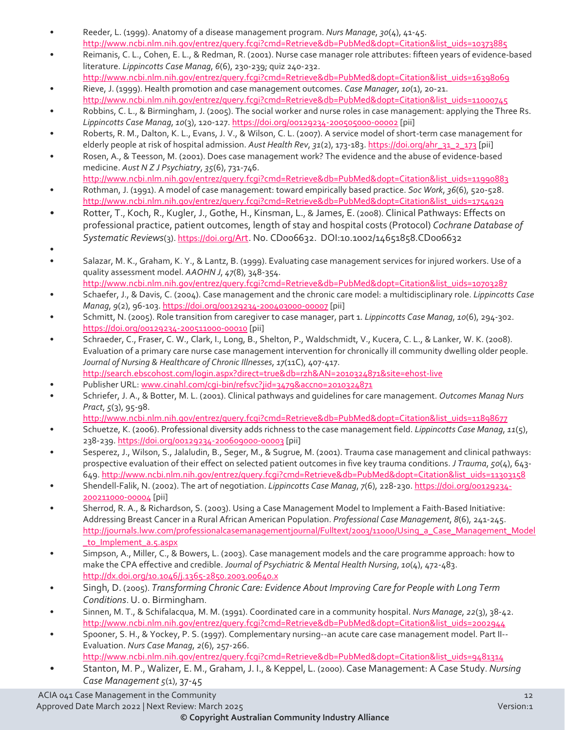- Reeder, L. (1999). Anatomy of a disease management program. *Nurs Manage*, *30*(4), 41-45. [http://www.ncbi.nlm.nih.gov/entrez/query.fcgi?cmd=Retrieve&db=PubMed&dopt=Citation&list\\_uids=10373885](http://www.ncbi.nlm.nih.gov/entrez/query.fcgi?cmd=Retrieve&db=PubMed&dopt=Citation&list_uids=10373885)
- Reimanis, C. L., Cohen, E. L., & Redman, R. (2001). Nurse case manager role attributes: fifteen years of evidence-based literature. *Lippincotts Case Manag*, *6*(6), 230-239; quiz 240-232. [http://www.ncbi.nlm.nih.gov/entrez/query.fcgi?cmd=Retrieve&db=PubMed&dopt=Citation&list\\_uids=16398069](http://www.ncbi.nlm.nih.gov/entrez/query.fcgi?cmd=Retrieve&db=PubMed&dopt=Citation&list_uids=16398069)
- Rieve, J. (1999). Health promotion and case management outcomes. *Case Manager*, *10*(1), 20-21. [http://www.ncbi.nlm.nih.gov/entrez/query.fcgi?cmd=Retrieve&db=PubMed&dopt=Citation&list\\_uids=11000745](http://www.ncbi.nlm.nih.gov/entrez/query.fcgi?cmd=Retrieve&db=PubMed&dopt=Citation&list_uids=11000745)
- Robbins, C. L., & Birmingham, J. (2005). The social worker and nurse roles in case management: applying the Three Rs. *Lippincotts Case Manag*, *10*(3), 120-127[. https://doi.org/00129234-200505000-00002](https://doi.org/00129234-200505000-00002) [pii]
- Roberts, R. M., Dalton, K. L., Evans, J. V., & Wilson, C. L. (2007). A service model of short-term case management for elderly people at risk of hospital admission. *Aust Health Rev*, *31*(2), 173-183[. https://doi.org/ahr\\_31\\_2\\_173](https://doi.org/ahr_31_2_173) [pii]
- Rosen, A., & Teesson, M. (2001). Does case management work? The evidence and the abuse of evidence-based medicine. *Aust N Z J Psychiatry*, *35*(6), 731-746.
- [http://www.ncbi.nlm.nih.gov/entrez/query.fcgi?cmd=Retrieve&db=PubMed&dopt=Citation&list\\_uids=11990883](http://www.ncbi.nlm.nih.gov/entrez/query.fcgi?cmd=Retrieve&db=PubMed&dopt=Citation&list_uids=11990883)  • Rothman, J. (1991). A model of case management: toward empirically based practice. *Soc Work*, *36*(6), 520-528. [http://www.ncbi.nlm.nih.gov/entrez/query.fcgi?cmd=Retrieve&db=PubMed&dopt=Citation&list\\_uids=1754929](http://www.ncbi.nlm.nih.gov/entrez/query.fcgi?cmd=Retrieve&db=PubMed&dopt=Citation&list_uids=1754929)
- Rotter, T., Koch, R., Kugler, J., Gothe, H., Kinsman, L., & James, E. (2008). Clinical Pathways: Effects on professional practice, patient outcomes, length of stay and hospital costs (Protocol) *Cochrane Database of Systematic Reviews*(3)[. https://doi.org/Art.](https://doi.org/Art) No. CD006632. DOI:10.1002/14651858.CD006632
- •
- Salazar, M. K., Graham, K. Y., & Lantz, B. (1999). Evaluating case management services for injured workers. Use of a quality assessment model. *AAOHN J*, *47*(8), 348-354.
- [http://www.ncbi.nlm.nih.gov/entrez/query.fcgi?cmd=Retrieve&db=PubMed&dopt=Citation&list\\_uids=10703287](http://www.ncbi.nlm.nih.gov/entrez/query.fcgi?cmd=Retrieve&db=PubMed&dopt=Citation&list_uids=10703287)  • Schaefer, J., & Davis, C. (2004). Case management and the chronic care model: a multidisciplinary role. *Lippincotts Case Manag*, *9*(2), 96-103[. https://doi.org/00129234-200403000-00007](https://doi.org/00129234-200403000-00007) [pii]
- Schmitt, N. (2005). Role transition from caregiver to case manager, part 1. *Lippincotts Case Manag*, *10*(6), 294-302. <https://doi.org/00129234-200511000-00010> [pii]
- Schraeder, C., Fraser, C. W., Clark, I., Long, B., Shelton, P., Waldschmidt, V., Kucera, C. L., & Lanker, W. K. (2008). Evaluation of a primary care nurse case management intervention for chronically ill community dwelling older people. *Journal of Nursing & Healthcare of Chronic Illnesses*, *17*(11C), 407-417.
- <http://search.ebscohost.com/login.aspx?direct=true&db=rzh&AN=2010324871&site=ehost-live>
- Publisher URL: www.cinahl.com/cqi-bin/refsvc?jid=3479&accno=2010324871
- Schriefer, J. A., & Botter, M. L. (2001). Clinical pathways and guidelines for care management. *Outcomes Manag Nurs Pract*, *5*(3), 95-98.
	- [http://www.ncbi.nlm.nih.gov/entrez/query.fcgi?cmd=Retrieve&db=PubMed&dopt=Citation&list\\_uids=11898677](http://www.ncbi.nlm.nih.gov/entrez/query.fcgi?cmd=Retrieve&db=PubMed&dopt=Citation&list_uids=11898677)
- Schuetze, K. (2006). Professional diversity adds richness to the case management field. *Lippincotts Case Manag*, *11*(5), 238-239[. https://doi.org/00129234-200609000-00003](https://doi.org/00129234-200609000-00003) [pii]
- Sesperez, J., Wilson, S., Jalaludin, B., Seger, M., & Sugrue, M. (2001). Trauma case management and clinical pathways: prospective evaluation of their effect on selected patient outcomes in five key trauma conditions. *J Trauma*, *50*(4), 643- 649[. http://www.ncbi.nlm.nih.gov/entrez/query.fcgi?cmd=Retrieve&db=PubMed&dopt=Citation&list\\_uids=11303158](http://www.ncbi.nlm.nih.gov/entrez/query.fcgi?cmd=Retrieve&db=PubMed&dopt=Citation&list_uids=11303158)
- Shendell-Falik, N. (2002). The art of negotiation. *Lippincotts Case Manag*, *7*(6), 228-230[. https://doi.org/00129234-](https://doi.org/00129234-200211000-00004) [200211000-00004](https://doi.org/00129234-200211000-00004) [pii]
- Sherrod, R. A., & Richardson, S. (2003). Using a Case Management Model to Implement a Faith-Based Initiative: Addressing Breast Cancer in a Rural African American Population. *Professional Case Management*, *8*(6), 241-245. [http://journals.lww.com/professionalcasemanagementjournal/Fulltext/2003/11000/Using\\_a\\_Case\\_Management\\_Model](http://journals.lww.com/professionalcasemanagementjournal/Fulltext/2003/11000/Using_a_Case_Management_Model_to_Implement_a.5.aspx) [\\_to\\_Implement\\_a.5.aspx](http://journals.lww.com/professionalcasemanagementjournal/Fulltext/2003/11000/Using_a_Case_Management_Model_to_Implement_a.5.aspx)
- Simpson, A., Miller, C., & Bowers, L. (2003). Case management models and the care programme approach: how to make the CPA effective and credible. *Journal of Psychiatric & Mental Health Nursing*, *10*(4), 472-483. <http://dx.doi.org/10.1046/j.1365-2850.2003.00640.x>
- Singh, D. (2005). *Transforming Chronic Care: Evidence About Improving Care for People with Long Term Conditions*. U. o. Birmingham.
- Sinnen, M. T., & Schifalacqua, M. M. (1991). Coordinated care in a community hospital. *Nurs Manage*, *22*(3), 38-42. [http://www.ncbi.nlm.nih.gov/entrez/query.fcgi?cmd=Retrieve&db=PubMed&dopt=Citation&list\\_uids=2002944](http://www.ncbi.nlm.nih.gov/entrez/query.fcgi?cmd=Retrieve&db=PubMed&dopt=Citation&list_uids=2002944)
- Spooner, S. H., & Yockey, P. S. (1997). Complementary nursing--an acute care case management model. Part II-- Evaluation. *Nurs Case Manag*, *2*(6), 257-266. [http://www.ncbi.nlm.nih.gov/entrez/query.fcgi?cmd=Retrieve&db=PubMed&dopt=Citation&list\\_uids=9481314](http://www.ncbi.nlm.nih.gov/entrez/query.fcgi?cmd=Retrieve&db=PubMed&dopt=Citation&list_uids=9481314)
- Stanton, M. P., Walizer, E. M., Graham, J. I., & Keppel, L. (2000). Case Management: A Case Study. *Nursing Case Management 5*(1), 37-45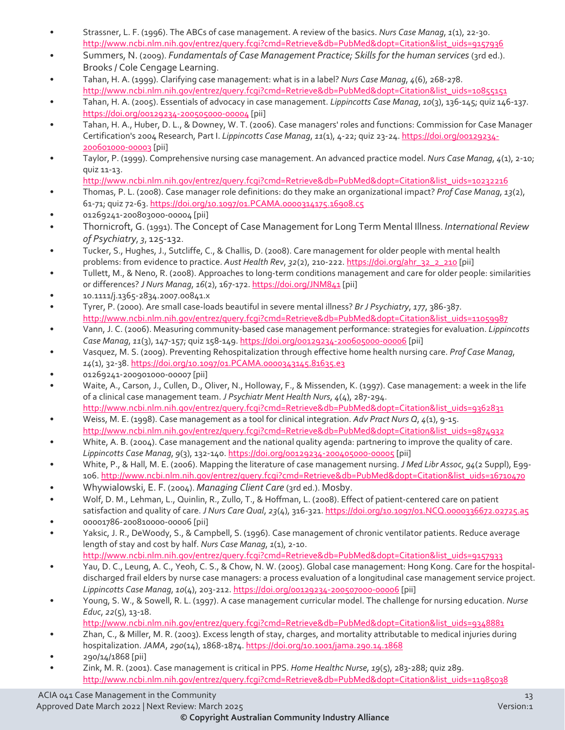- Strassner, L. F. (1996). The ABCs of case management. A review of the basics. *Nurs Case Manag*, *1*(1), 22-30. [http://www.ncbi.nlm.nih.gov/entrez/query.fcgi?cmd=Retrieve&db=PubMed&dopt=Citation&list\\_uids=9157936](http://www.ncbi.nlm.nih.gov/entrez/query.fcgi?cmd=Retrieve&db=PubMed&dopt=Citation&list_uids=9157936)
- Summers, N. (2009). *Fundamentals of Case Management Practice; Skills for the human services* (3rd ed.). Brooks / Cole Cengage Learning.
- Tahan, H. A. (1999). Clarifying case management: what is in a label? *Nurs Case Manag*, *4*(6), 268-278. [http://www.ncbi.nlm.nih.gov/entrez/query.fcgi?cmd=Retrieve&db=PubMed&dopt=Citation&list\\_uids=10855151](http://www.ncbi.nlm.nih.gov/entrez/query.fcgi?cmd=Retrieve&db=PubMed&dopt=Citation&list_uids=10855151)
- Tahan, H. A. (2005). Essentials of advocacy in case management. *Lippincotts Case Manag*, *10*(3), 136-145; quiz 146-137. <https://doi.org/00129234-200505000-00004> [pii]
- Tahan, H. A., Huber, D. L., & Downey, W. T. (2006). Case managers' roles and functions: Commission for Case Manager Certification's 2004 Research, Part I. *Lippincotts Case Manag*, *11*(1), 4-22; quiz 23-24[. https://doi.org/00129234-](https://doi.org/00129234-200601000-00003) [200601000-00003](https://doi.org/00129234-200601000-00003) [pii]
- Taylor, P. (1999). Comprehensive nursing case management. An advanced practice model. *Nurs Case Manag*, *4*(1), 2-10; quiz 11-13.
- [http://www.ncbi.nlm.nih.gov/entrez/query.fcgi?cmd=Retrieve&db=PubMed&dopt=Citation&list\\_uids=10232216](http://www.ncbi.nlm.nih.gov/entrez/query.fcgi?cmd=Retrieve&db=PubMed&dopt=Citation&list_uids=10232216)
- Thomas, P. L. (2008). Case manager role definitions: do they make an organizational impact? *Prof Case Manag*, *13*(2), 61-71; quiz 72-63.<https://doi.org/10.1097/01.PCAMA.0000314175.16908.c5>
- 01269241-200803000-00004 [pii]
- Thornicroft, G. (1991). The Concept of Case Management for Long Term Mental Illness. *International Review of Psychiatry*, *3*, 125-132.
- Tucker, S., Hughes, J., Sutcliffe, C., & Challis, D. (2008). Care management for older people with mental health problems: from evidence to practice. *Aust Health Rev*, *32*(2), 210-222. [https://doi.org/ahr\\_32\\_2\\_210](https://doi.org/ahr_32_2_210) [pii]
- Tullett, M., & Neno, R. (2008). Approaches to long-term conditions management and care for older people: similarities or differences? *J Nurs Manag*, *16*(2), 167-172[. https://doi.org/JNM841](https://doi.org/JNM841) [pii]
- 10.1111/j.1365-2834.2007.00841.x
- Tyrer, P. (2000). Are small case-loads beautiful in severe mental illness? *Br J Psychiatry*, *177*, 386-387. [http://www.ncbi.nlm.nih.gov/entrez/query.fcgi?cmd=Retrieve&db=PubMed&dopt=Citation&list\\_uids=11059987](http://www.ncbi.nlm.nih.gov/entrez/query.fcgi?cmd=Retrieve&db=PubMed&dopt=Citation&list_uids=11059987)
- Vann, J. C. (2006). Measuring community-based case management performance: strategies for evaluation. *Lippincotts Case Manag*, *11*(3), 147-157; quiz 158-149[. https://doi.org/00129234-200605000-00006](https://doi.org/00129234-200605000-00006) [pii]
- Vasquez, M. S. (2009). Preventing Rehospitalization through effective home health nursing care. *Prof Case Manag*, *14*(1), 32-38[. https://doi.org/10.1097/01.PCAMA.0000343145.81635.e3](https://doi.org/10.1097/01.PCAMA.0000343145.81635.e3)
- 01269241-200901000-00007 [pii]
- Waite, A., Carson, J., Cullen, D., Oliver, N., Holloway, F., & Missenden, K. (1997). Case management: a week in the life of a clinical case management team. *J Psychiatr Ment Health Nurs*, *4*(4), 287-294. [http://www.ncbi.nlm.nih.gov/entrez/query.fcgi?cmd=Retrieve&db=PubMed&dopt=Citation&list\\_uids=9362831](http://www.ncbi.nlm.nih.gov/entrez/query.fcgi?cmd=Retrieve&db=PubMed&dopt=Citation&list_uids=9362831)
- Weiss, M. E. (1998). Case management as a tool for clinical integration. *Adv Pract Nurs Q*, *4*(1), 9-15. [http://www.ncbi.nlm.nih.gov/entrez/query.fcgi?cmd=Retrieve&db=PubMed&dopt=Citation&list\\_uids=9874932](http://www.ncbi.nlm.nih.gov/entrez/query.fcgi?cmd=Retrieve&db=PubMed&dopt=Citation&list_uids=9874932)
- White, A. B. (2004). Case management and the national quality agenda: partnering to improve the quality of care. *Lippincotts Case Manag*, *9*(3), 132-140[. https://doi.org/00129234-200405000-00005](https://doi.org/00129234-200405000-00005) [pii]
- White, P., & Hall, M. E. (2006). Mapping the literature of case management nursing. *J Med Libr Assoc*, *94*(2 Suppl), E99- 106[. http://www.ncbi.nlm.nih.gov/entrez/query.fcgi?cmd=Retrieve&db=PubMed&dopt=Citation&list\\_uids=16710470](http://www.ncbi.nlm.nih.gov/entrez/query.fcgi?cmd=Retrieve&db=PubMed&dopt=Citation&list_uids=16710470)
- Whywialowski, E. F. (2004). *Managing Client Care* (3rd ed.). Mosby.
- Wolf, D. M., Lehman, L., Quinlin, R., Zullo, T., & Hoffman, L. (2008). Effect of patient-centered care on patient satisfaction and quality of care. *J Nurs Care Qual*, *23*(4), 316-321.<https://doi.org/10.1097/01.NCQ.0000336672.02725.a5>
- 00001786-200810000-00006 [pii]
- Yaksic, J. R., DeWoody, S., & Campbell, S. (1996). Case management of chronic ventilator patients. Reduce average length of stay and cost by half. *Nurs Case Manag*, *1*(1), 2-10.
- [http://www.ncbi.nlm.nih.gov/entrez/query.fcgi?cmd=Retrieve&db=PubMed&dopt=Citation&list\\_uids=9157933](http://www.ncbi.nlm.nih.gov/entrez/query.fcgi?cmd=Retrieve&db=PubMed&dopt=Citation&list_uids=9157933)  • Yau, D. C., Leung, A. C., Yeoh, C. S., & Chow, N. W. (2005). Global case management: Hong Kong. Care for the hospitaldischarged frail elders by nurse case managers: a process evaluation of a longitudinal case management service project.
- *Lippincotts Case Manag*, *10*(4), 203-212[. https://doi.org/00129234-200507000-00006](https://doi.org/00129234-200507000-00006) [pii] • Young, S. W., & Sowell, R. L. (1997). A case management curricular model. The challenge for nursing education. *Nurse Educ*, *22*(5), 13-18.
	- [http://www.ncbi.nlm.nih.gov/entrez/query.fcgi?cmd=Retrieve&db=PubMed&dopt=Citation&list\\_uids=9348881](http://www.ncbi.nlm.nih.gov/entrez/query.fcgi?cmd=Retrieve&db=PubMed&dopt=Citation&list_uids=9348881)
- Zhan, C., & Miller, M. R. (2003). Excess length of stay, charges, and mortality attributable to medical injuries during hospitalization. *JAMA*, *290*(14), 1868-1874[. https://doi.org/10.1001/jama.290.14.1868](https://doi.org/10.1001/jama.290.14.1868)
- 290/14/1868 [pii]
- Zink, M. R. (2001). Case management is critical in PPS. *Home Healthc Nurse*, *19*(5), 283-288; quiz 289. [http://www.ncbi.nlm.nih.gov/entrez/query.fcgi?cmd=Retrieve&db=PubMed&dopt=Citation&list\\_uids=11985038](http://www.ncbi.nlm.nih.gov/entrez/query.fcgi?cmd=Retrieve&db=PubMed&dopt=Citation&list_uids=11985038)